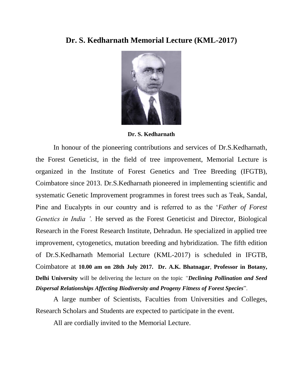## **Dr. S. Kedharnath Memorial Lecture (KML-2017)**



**Dr. S. Kedharnath**

In honour of the pioneering contributions and services of Dr.S.Kedharnath, the Forest Geneticist, in the field of tree improvement, Memorial Lecture is organized in the Institute of Forest Genetics and Tree Breeding (IFGTB), Coimbatore since 2013. Dr.S.Kedharnath pioneered in implementing scientific and systematic Genetic Improvement programmes in forest trees such as Teak, Sandal, Pine and Eucalypts in our country and is referred to as the '*Father of Forest Genetics in India '.* He served as the Forest Geneticist and Director, Biological Research in the Forest Research Institute, Dehradun. He specialized in applied tree improvement, cytogenetics, mutation breeding and hybridization. The fifth edition of Dr.S.Kedharnath Memorial Lecture (KML-2017) is scheduled in IFGTB, Coimbatore at **10.00 am on 28th July 2017. Dr. A.K. Bhatnagar**, **Professor in Botany, Delhi University** will be delivering the lecture on the topic *"Declining Pollination and Seed Dispersal Relationships Affecting Biodiversity and Progeny Fitness of Forest Species*".

A large number of Scientists, Faculties from Universities and Colleges, Research Scholars and Students are expected to participate in the event.

All are cordially invited to the Memorial Lecture.